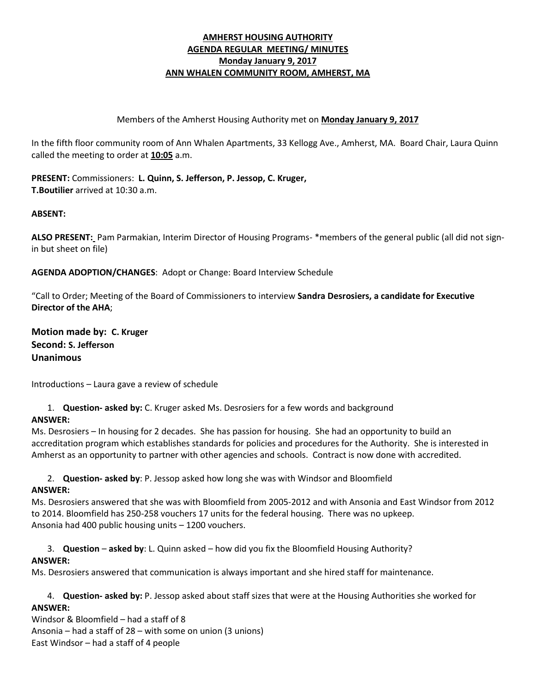## **AMHERST HOUSING AUTHORITY AGENDA REGULAR MEETING/ MINUTES Monday January 9, 2017 ANN WHALEN COMMUNITY ROOM, AMHERST, MA**

### Members of the Amherst Housing Authority met on **Monday January 9, 2017**

In the fifth floor community room of Ann Whalen Apartments, 33 Kellogg Ave., Amherst, MA. Board Chair, Laura Quinn called the meeting to order at **10:05** a.m.

**PRESENT:** Commissioners: **L. Quinn, S. Jefferson, P. Jessop, C. Kruger, T.Boutilier** arrived at 10:30 a.m.

#### **ABSENT:**

**ALSO PRESENT:** Pam Parmakian, Interim Director of Housing Programs- \*members of the general public (all did not signin but sheet on file)

**AGENDA ADOPTION/CHANGES**: Adopt or Change: Board Interview Schedule

"Call to Order; Meeting of the Board of Commissioners to interview **Sandra Desrosiers, a candidate for Executive Director of the AHA**;

**Motion made by: C. Kruger Second: S. Jefferson Unanimous**

Introductions – Laura gave a review of schedule

1. **Question- asked by:** C. Kruger asked Ms. Desrosiers for a few words and background

## **ANSWER:**

Ms. Desrosiers – In housing for 2 decades. She has passion for housing. She had an opportunity to build an accreditation program which establishes standards for policies and procedures for the Authority. She is interested in Amherst as an opportunity to partner with other agencies and schools. Contract is now done with accredited.

2. **Question- asked by**: P. Jessop asked how long she was with Windsor and Bloomfield **ANSWER:**

Ms. Desrosiers answered that she was with Bloomfield from 2005-2012 and with Ansonia and East Windsor from 2012 to 2014. Bloomfield has 250-258 vouchers 17 units for the federal housing. There was no upkeep. Ansonia had 400 public housing units – 1200 vouchers.

3. **Question** – **asked by**: L. Quinn asked – how did you fix the Bloomfield Housing Authority?

## **ANSWER:**

Ms. Desrosiers answered that communication is always important and she hired staff for maintenance.

4. **Question- asked by:** P. Jessop asked about staff sizes that were at the Housing Authorities she worked for **ANSWER:** 

Windsor & Bloomfield – had a staff of 8 Ansonia – had a staff of 28 – with some on union (3 unions) East Windsor – had a staff of 4 people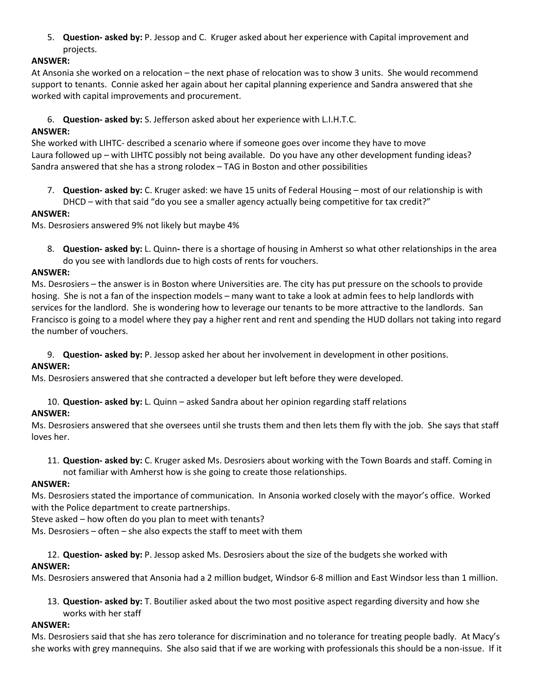5. **Question- asked by:** P. Jessop and C. Kruger asked about her experience with Capital improvement and projects.

# **ANSWER:**

At Ansonia she worked on a relocation – the next phase of relocation was to show 3 units. She would recommend support to tenants. Connie asked her again about her capital planning experience and Sandra answered that she worked with capital improvements and procurement.

6. **Question- asked by:** S. Jefferson asked about her experience with L.I.H.T.C.

# **ANSWER:**

She worked with LIHTC- described a scenario where if someone goes over income they have to move Laura followed up – with LIHTC possibly not being available. Do you have any other development funding ideas? Sandra answered that she has a strong rolodex – TAG in Boston and other possibilities

7. **Question- asked by:** C. Kruger asked: we have 15 units of Federal Housing – most of our relationship is with DHCD – with that said "do you see a smaller agency actually being competitive for tax credit?"

## **ANSWER:**

Ms. Desrosiers answered 9% not likely but maybe 4%

8. **Question- asked by:** L. Quinn**-** there is a shortage of housing in Amherst so what other relationships in the area do you see with landlords due to high costs of rents for vouchers.

## **ANSWER:**

Ms. Desrosiers – the answer is in Boston where Universities are. The city has put pressure on the schools to provide hosing. She is not a fan of the inspection models – many want to take a look at admin fees to help landlords with services for the landlord. She is wondering how to leverage our tenants to be more attractive to the landlords. San Francisco is going to a model where they pay a higher rent and rent and spending the HUD dollars not taking into regard the number of vouchers.

9. **Question- asked by:** P. Jessop asked her about her involvement in development in other positions.

## **ANSWER:**

Ms. Desrosiers answered that she contracted a developer but left before they were developed.

10. **Question- asked by:** L. Quinn – asked Sandra about her opinion regarding staff relations

# **ANSWER:**

Ms. Desrosiers answered that she oversees until she trusts them and then lets them fly with the job. She says that staff loves her.

11. **Question- asked by:** C. Kruger asked Ms. Desrosiers about working with the Town Boards and staff. Coming in not familiar with Amherst how is she going to create those relationships.

## **ANSWER:**

Ms. Desrosiers stated the importance of communication. In Ansonia worked closely with the mayor's office. Worked with the Police department to create partnerships.

Steve asked – how often do you plan to meet with tenants?

Ms. Desrosiers – often – she also expects the staff to meet with them

### 12. **Question- asked by:** P. Jessop asked Ms. Desrosiers about the size of the budgets she worked with **ANSWER:**

Ms. Desrosiers answered that Ansonia had a 2 million budget, Windsor 6-8 million and East Windsor less than 1 million.

13. **Question- asked by:** T. Boutilier asked about the two most positive aspect regarding diversity and how she works with her staff

## **ANSWER:**

Ms. Desrosiers said that she has zero tolerance for discrimination and no tolerance for treating people badly. At Macy's she works with grey mannequins. She also said that if we are working with professionals this should be a non-issue. If it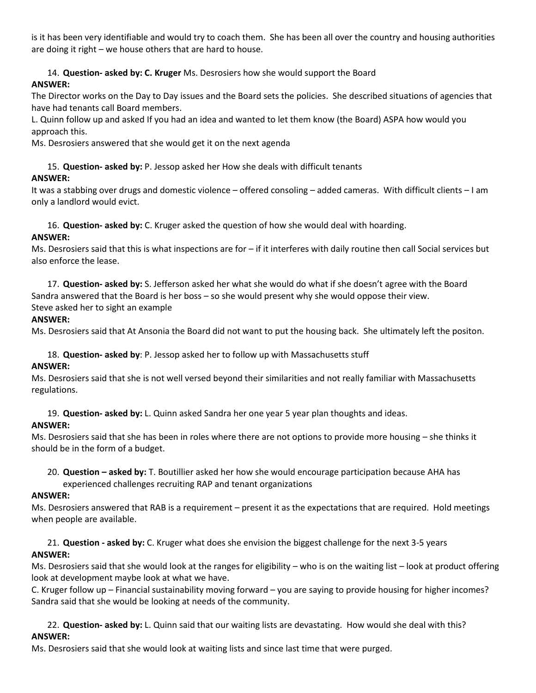is it has been very identifiable and would try to coach them. She has been all over the country and housing authorities are doing it right – we house others that are hard to house.

14. **Question- asked by: C. Kruger** Ms. Desrosiers how she would support the Board **ANSWER:**

The Director works on the Day to Day issues and the Board sets the policies. She described situations of agencies that have had tenants call Board members.

L. Quinn follow up and asked If you had an idea and wanted to let them know (the Board) ASPA how would you approach this.

Ms. Desrosiers answered that she would get it on the next agenda

15. **Question- asked by:** P. Jessop asked her How she deals with difficult tenants

### **ANSWER:**

It was a stabbing over drugs and domestic violence – offered consoling – added cameras. With difficult clients – I am only a landlord would evict.

16. **Question- asked by:** C. Kruger asked the question of how she would deal with hoarding.

### **ANSWER:**

Ms. Desrosiers said that this is what inspections are for – if it interferes with daily routine then call Social services but also enforce the lease.

17. **Question- asked by:** S. Jefferson asked her what she would do what if she doesn't agree with the Board Sandra answered that the Board is her boss – so she would present why she would oppose their view. Steve asked her to sight an example

### **ANSWER:**

Ms. Desrosiers said that At Ansonia the Board did not want to put the housing back. She ultimately left the positon.

18. **Question- asked by**: P. Jessop asked her to follow up with Massachusetts stuff

#### **ANSWER:**

Ms. Desrosiers said that she is not well versed beyond their similarities and not really familiar with Massachusetts regulations.

19. **Question- asked by:** L. Quinn asked Sandra her one year 5 year plan thoughts and ideas.

## **ANSWER:**

Ms. Desrosiers said that she has been in roles where there are not options to provide more housing – she thinks it should be in the form of a budget.

20. **Question – asked by:** T. Boutillier asked her how she would encourage participation because AHA has experienced challenges recruiting RAP and tenant organizations

## **ANSWER:**

Ms. Desrosiers answered that RAB is a requirement – present it as the expectations that are required. Hold meetings when people are available.

21. **Question - asked by:** C. Kruger what does she envision the biggest challenge for the next 3-5 years **ANSWER:**

Ms. Desrosiers said that she would look at the ranges for eligibility – who is on the waiting list – look at product offering look at development maybe look at what we have.

C. Kruger follow up – Financial sustainability moving forward – you are saying to provide housing for higher incomes? Sandra said that she would be looking at needs of the community.

22. **Question- asked by:** L. Quinn said that our waiting lists are devastating. How would she deal with this? **ANSWER:**

Ms. Desrosiers said that she would look at waiting lists and since last time that were purged.